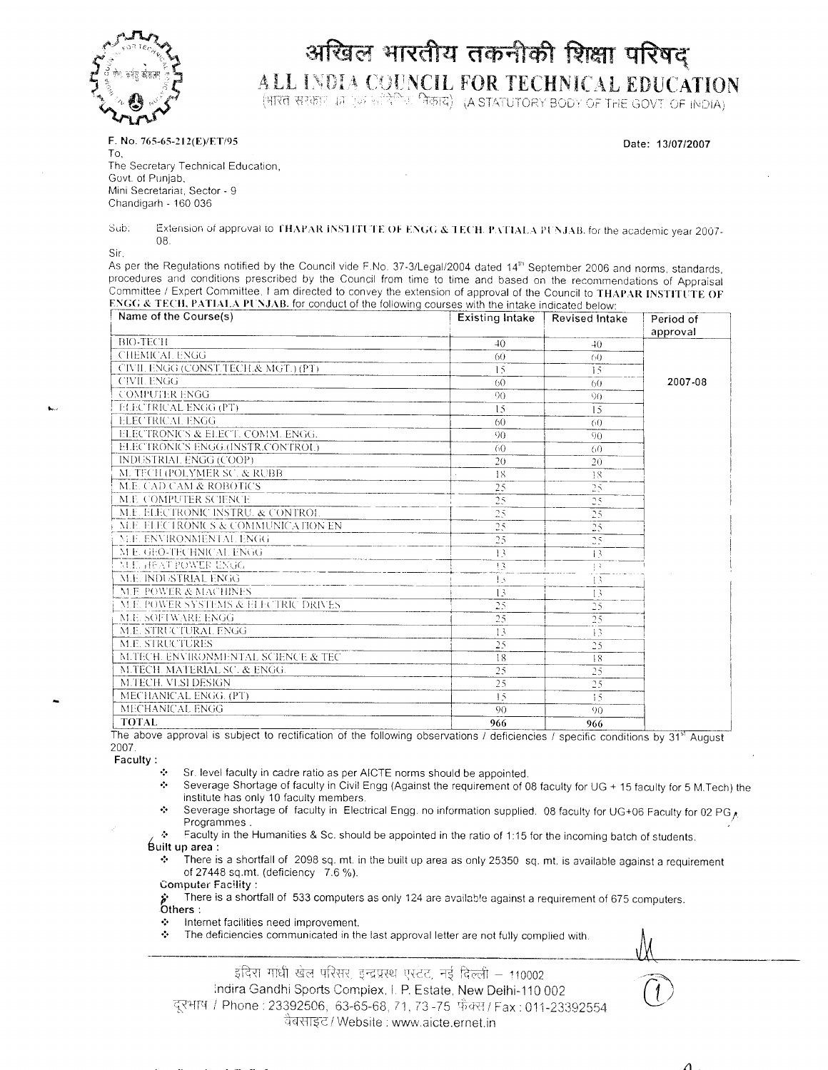

## अखिल भारतीय तकनीकी शिक्षा परिषद् ALL INDIA COUNCIL FOR TECHNICAL EDUCATION

भारत सरकार की एक सर्विर्ण के निकाय) (A STATUTORY BODY OF THE GOVT OF INDIA)

F. No. 765-65-212(E)/ET/95

Date: 13/07/2007

*/)*

To, The Secretary Technical Education, Govt. ol Punjab. Mini Secretariat, Sector - 9 Chandigarh - 160 036

Sub: Extension of approval to I HAI'AR iiN.S'l 111 I !@: ()!@ KN(.,(, & 1 ECU. I'A ( IAI.A 1'I^JAB. for the academic year 2007- !@: ()!@ KN(.,(, &1ECH. 1'ATlAI.A 1'I^JAB. for the academic year 2007- 08.

Sir,

**A.** 

As per the Regulations notified by the Council vide F.No. 37-3/Legal/2004 dated 14<sup>th</sup> September 2006 and norms, standards, procedures and conditions prescribed by the Council from time to time and based on the recommendations of Appraisal Committee / Expert Committee, I am directed to convey the extension of approval of the Council to THAPAR INSTITUTE OF ENGG & TECH, PATIALA PUNJAB. for conduct of the following courses with the intake indicated below:

| Name of the Course(s)                | <b>Existing Intake</b> | <b>Revised Intake</b> | Period of |
|--------------------------------------|------------------------|-----------------------|-----------|
|                                      |                        |                       | approval  |
| <b>BIO-TECH</b>                      | 40                     | $40^{\circ}$          |           |
| <b>CHEMICAL ENGG</b>                 | 60                     | 60                    |           |
| CIVIL ENGG (CONST.TECH.& MGT.) (PT)  | 15                     | 15                    |           |
| <b>CIVIL ENGG</b>                    | 60 <sup>2</sup>        | 60                    | 2007-08   |
| <b>COMPUTER ENGG</b>                 | 90                     | $90 -$                |           |
| <b>ELECTRICAL ENGG (PT)</b>          | 15                     | 15                    |           |
| <b>ELECTRICAL ENGG</b>               | 60                     | $60 -$                |           |
| ELECTRONICS & ELECT. COMM. ENGG.     | 90                     | -90                   |           |
| ELECTRONICS ENGG.(INSTR.CONTROL)     | -60                    | -60                   |           |
| INDUSTRIAL ENGG (COOP)               | 20                     | 20                    |           |
| M. TECH (POLYMER SC. & RUBB          | 18                     | -18                   |           |
| <b>M.E. CAD.CAM &amp; ROBOTICS</b>   | 25                     | 25                    |           |
| M.E. COMPUTER SCIENCE                | 25                     | 25                    |           |
| M.E. ELECTRONIC INSTRU. & CONTROL    | 25                     | 25                    |           |
| M.E. ELECTRONICS & COMMUNICATION EN  | 25                     | 25                    |           |
| M.E. ENVIRONMENTAL ENGG              | 25                     | 25                    |           |
| M E. GEO-TECHNICAL ENGG              | 13                     | $\vert$ 3             |           |
| MUE, HEAT POWER ENGG                 | 93                     | 1.3                   |           |
| M.E. INDUSTRIAL ENGG                 | -13                    | 43.                   |           |
| M.F. POWER & MACHINES                | 13                     | 13                    |           |
| M.E. POWER SYSTEMS & ELECTRIC DRIVES | 25                     | 25                    |           |
| M.E. SOFTWARE ENGG                   | 25                     | 25                    |           |
| M.E. STRUCTURAL ENGG                 | 13                     | 13                    |           |
| M.E. STRUCTURES                      | 25                     | 25                    |           |
| M.TECH. ENVIRONMENTAL SCIENCE & TEC  | 18                     | 18                    |           |
| M.TECH. MATERIAL SC. & ENGG.         | 25                     | 25                    |           |
| M.TECH. VLSI DESIGN                  | 25                     | 25                    |           |
| MECHANICAL ENGG. (PT)                | 15                     | 15                    |           |
| MECHANICAL ENGG                      | 90                     | 90                    |           |
| <b>TOTAL</b>                         | 966                    | 966                   |           |

The above approval is subject to rectification of the following observations / deficiencies / specific conditions by 31" August 2007.

 **Faculty :**

@:@ Sr. level faculty in cadre ratio as per AICTE norms should be appointed.

- @:@ Severage Shortage of faculty in Civil Engg (Against the requirement of 08 faculty for UG + 15 faculty for 5 M.Tech) the institute has only 10 faculty members.
- @:@ Severage shortage of faculty in Electrical Engg. no information supplied. 08 faculty for UG+06 Faculty for 02 PG< Programmes .
- . @:@ ^acuity in the Humanities & Sc. should be appointed in the ratio of 1:15 for the incoming batch of students.  **Built up area :**

There is a shortfall of 2098 sq. mt. in the built up area as only 25350 sq. mt. is available against a requirement of 27448 sq.mt. (deficiency 7.6 %).

Computer Facility :

There is a shortfall of 533 computers as only 124 are available against a requirement of 675 computers.  **Others :**

- $\div$  Internet facilities need improvement.
- $\div$  The deficiencies communicated in the last approval letter are not fully complied with.

इंदिरा गांधी खेल परिसर, इन्द्रग्रस्थ एस्टंट, नई दिल्ली – 110002 ;ndira Gandhi Sports Compiex, I. P. Estate, New Deihi-110 002 दूरभाष / Phone : 23392506, 63-65-68, 71, 73 -75 फ़ैक्स/Fax : 011-233925 वैबसाइट / Website : www.aicte.ernet.ir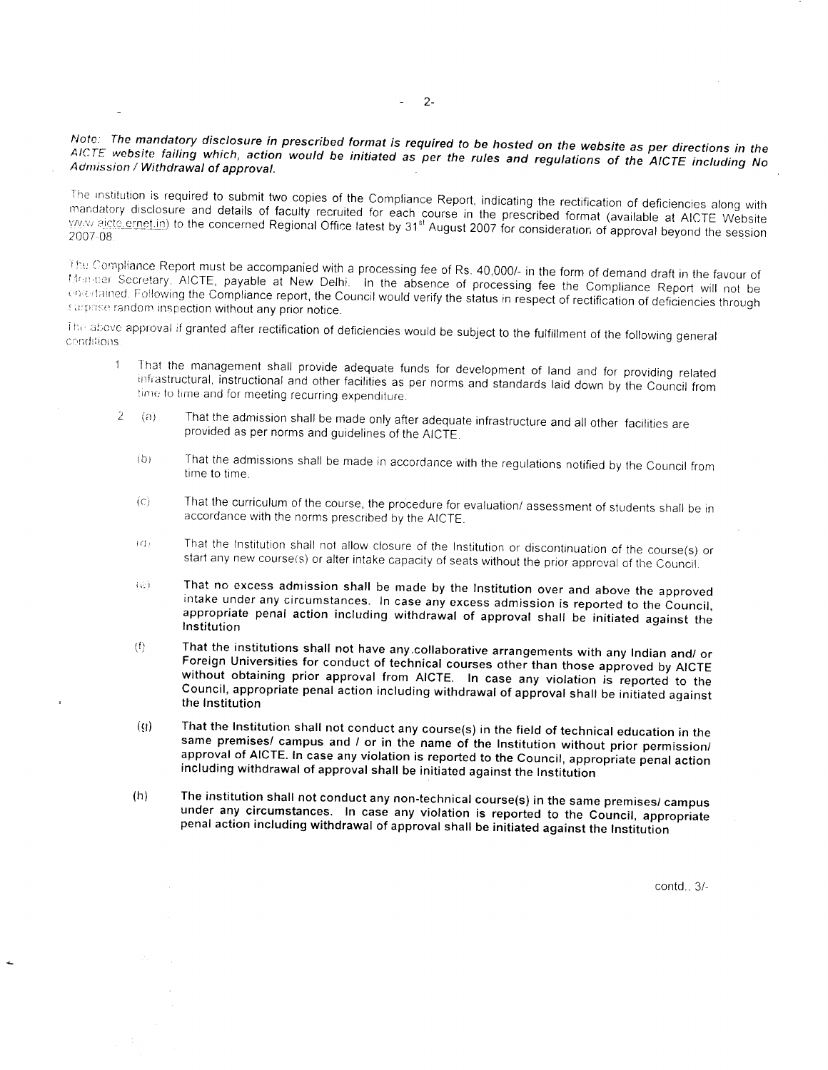## *Note: The mandatory disclosure in prescribed format is required to be hosted on the website as per directions in the AICTE website failing which, action would be initiated as per the rules and regulations of the AICTE including No* Admission / Withdrawal of approval.

The institution is required to submit two copies of the Compliance Report, indicating the rectification mandatory disclosure and details of faculty recruited for each course in the prescribed format (available at AICTE Website<br>WWW.aicte.grnet.in) to the concerned Regional Office latest by 31<sup>st</sup> August 2007 for consideration mandatory disclosure and details of faculty recruited for each coupling. Indicating the rectific 2007-08

The Compliance Report must be accompanied with a processing fee of Rs. 40,000/- in the form of demand draft in the favour of Monder Secretary, AICTE, payable at New Delhi. In the absence of processing fee the Compliance Report will not be . n .- ,':.ned. F .ollowing the Compliance report, the Council would verify the status in respect of rectification of deficiencies through surprise random inspection without any prior notice.

The above approval if granted after rectification of deficiencies would be subject to the fulfillment of the following general conditions:

- 1 That the management shall provide adequate funds for development of land and for providing related infrastructural, instructional and other facilities as per norms and standards laid down by the Council from time to time and for meeting recurring expenditure.
- $2 (a)$  That the admission shall be made only after adequate infrastructure and all other facilities are provided as per norms and guidelines of the AICTE,
	- ib) That the admissions shall be made in accordance with the regulations notified by the Council from time to time.
	- (o That the curriculum of the course, the procedure for evaluation/ assessment of students shall be in accordance with the norms prescribed by the AICTE.
	- IG: That the Institution shall not allow closure of the Institution or discontinuation of the course(s) or start any new course(s) or alter intake capacity of seats without the prior approval of the Council.
	- **(a)** That no excess admission shall be made by the Institution over and above the approved  **intake under any circumstances. In case any excess admission is reported to the Council appropriate penal action including withdrawal of approval shall be initiated aqainst the Institution**
	- **(0 That the institutions shall not have any.collaborative arrangements with any Indian and/ or Foreign Universities for conduct of technical courses other than those approved by AICTE without obtaining prior approval from AICTE. In case any violation is reported to the Council, appropriate penal action including withdrawal ofapproval shall be initiated aqainst the Institution**
	- **(()) That the Institution shall not conduct any course(s) in the field of technical education in the same premises/ campus and / or in the name of the Institution without prior permission/ approval of AICTE. In case any violation is reported to the Council, appropriate penal action including withdrawal ofapproval shall be initiated against the Institution**
	- **(h) The institution shall not conduct any non-technical course(s) in the same premises/ campus under any circumstances. In case any violation is reported to the Council, appropriate penal action including withdrawal of approval shall be initiated against the Institution**

contd.. 3/-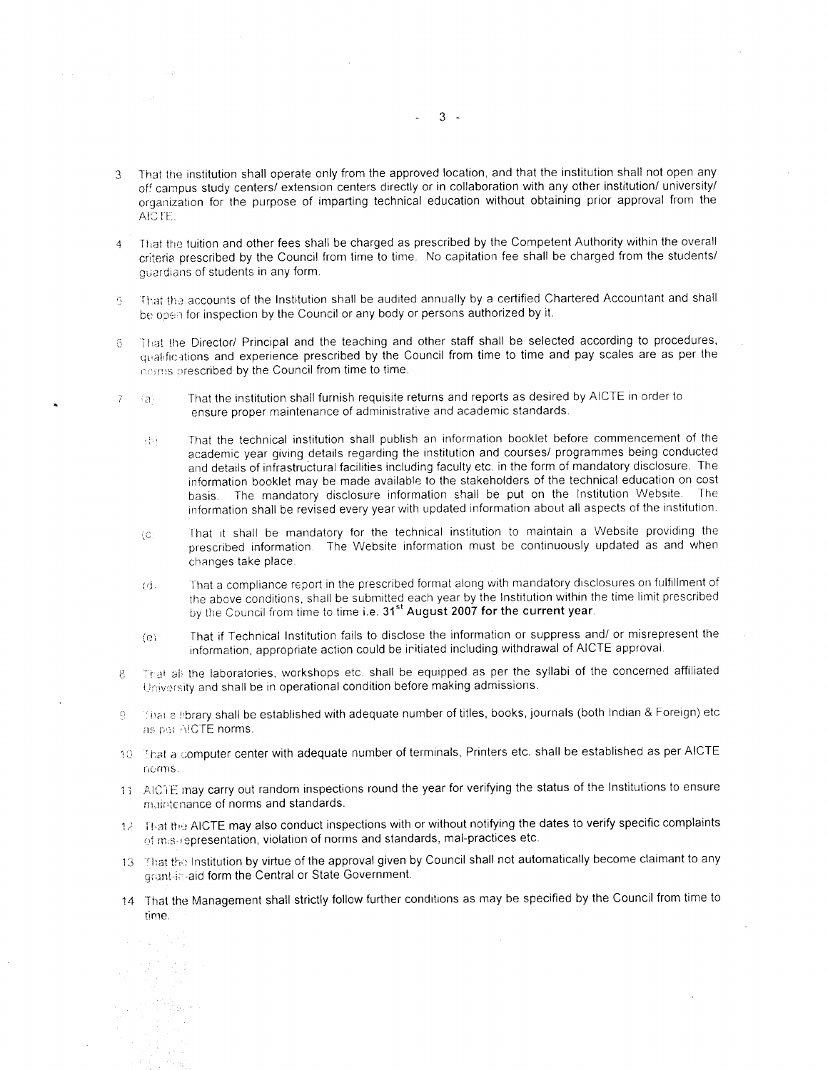- **3 That the institution shall operate only from the approved location, and that the institution shall not open any** off campus study centers/ extension centers directly or in collaboration with any other institution/ university/  **organization for the purpose of imparting technical education without obtaining prior approval from the** AICTE.
- 4 That the tuition and other fees shall be charged as prescribed by the Competent Authority within the overall criteria prescribed by the Council from time to time. No capitation fee shall be charged from the students/ quardians of students in any form,
- **6** That the accounts of the Institution shall be audited annually by a certified Chartered Accountant and shall be open for inspection by the Council or any body or persons authorized by it.
- **6 It'.at the Director/ Principal and the teaching and other staff shall be selected according to procedures, qi'al'fic-itions and experience prescribed by the Council from time to time and pay scales are as per the** norms prescribed by the Council from time to time.
- $7 \langle a \rangle$  That the institution shall furnish requisite returns and reports as desired by AICTE in order to ensure proper maintenance of administrative and academic standards.
	- $\langle \cdot \rangle$ . That the technical institution shall publish an information booklet before commencement of the academic year giving details regarding the institution and courses/ programmes being conducted and details of infrastructural facilities including faculty etc. in the form of mandatory disclosure. The information booklet may be made available to the stakeholders of the technical education on cost basis. The mandatory disclosure information shall be put on the Institution Website. The information shall be revised every year with updated information about all aspects of the institution.
	- {c. That it shall be mandatory for the technical institution to maintain a Website providing the prescribed information The Website information must be continuously updated as and when changes take place.
	- (d). That a compliance report in the prescribed format along with mandatory disclosures on fulfillment of the above conditions, shall be submitted each year by the Institution within the time limit prescribed  **by the Council from time to time i.e. 31st August 2007 for the current year.**
	- (el That if Technical Institution fails to disclose the information or suppress and/ or misrepresent the information, appropriate action could be iritiated including withdrawal of AICTE approval,
- 8 That all the laboratories, workshops etc. shall be equipped as per the syllabi of the concerned affiliated University and shall be in operational condition before making admissions.
- 9 1 That a Hbrary shall be established with adequate number of titles, books, journals (both Indian & Foreign) etc as per AICTE norms.
- 10 That a computer center with adequate number of terminals, Printers etc. shall be established as per AICTE nc'rnis,
- 11 AICTE may carry out random inspections round the year for verifying the status of the Institutions to ensure maintenance of norms and standards.
- 12 Illiat the AICTE may also conduct inspections with or without notifying the dates to verify specific complaints of m.s representation, violation of norms and standards, mal-practices etc.
- 13. That the Institution by virtue of the approval given by Council shall not automatically become claimant to any grant-in-aid form the Central or State Government.
- 14 That the Management shall strictly follow further conditions as may be specified by the Council from time to time.

 $3 -$